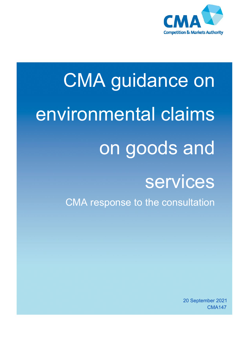

# CMA guidance on environmental claims on goods and services

CMA response to the consultation

20 September 2021 CMA147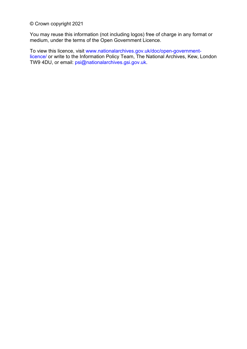© Crown copyright 2021

You may reuse this information (not including logos) free of charge in any format or medium, under the terms of the Open Government Licence.

To view this licence, visit [www.nationalarchives.gov.uk/doc/open-government](http://www.nationalarchives.gov.uk/doc/open-government-licence/)[licence/](http://www.nationalarchives.gov.uk/doc/open-government-licence/) or write to the Information Policy Team, The National Archives, Kew, London TW9 4DU, or email: [psi@nationalarchives.gsi.gov.uk.](mailto:psi@nationalarchives.gsi.gov.uk)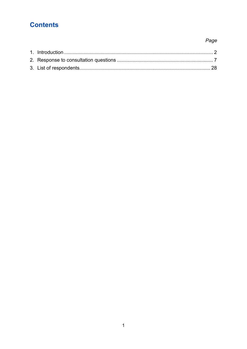# **Contents**

## Page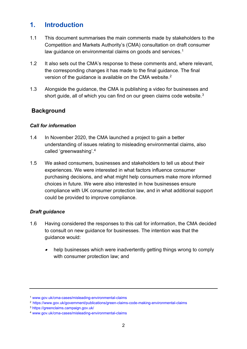## <span id="page-3-0"></span>**1. Introduction**

- 1.1 This document summarises the main comments made by stakeholders to the Competition and Markets Authority's (CMA) consultation on draft consumer law guidance on environmental claims on goods and services.<sup>[1](#page-3-1)</sup>
- 1.2 It also sets out the CMA's response to these comments and, where relevant, the corresponding changes it has made to the final guidance. The final version of the guidance is available on the CMA website.[2](#page-3-2)
- 1.3 Alongside the guidance, the CMA is publishing a video for businesses and short guide, all of which you can find on our green claims code website.<sup>3</sup>

## **Background**

#### *Call for information*

- 1.4 In November 2020, the CMA launched a project to gain a better understanding of issues relating to misleading environmental claims, also called 'greenwashing'.[4](#page-3-4)
- 1.5 We asked consumers, businesses and stakeholders to tell us about their experiences. We were interested in what factors influence consumer purchasing decisions, and what might help consumers make more informed choices in future. We were also interested in how businesses ensure compliance with UK consumer protection law, and in what additional support could be provided to improve compliance.

#### *Draft guidance*

- 1.6 Having considered the responses to this call for information, the CMA decided to consult on new guidance for businesses. The intention was that the guidance would:
	- • help businesses which were inadvertently getting things wrong to comply with consumer protection law; and

<span id="page-3-1"></span><sup>1</sup> [www.gov.uk/cma-cases/misleading-environmental-claims](http://www.gov.uk/cma-cases/misleading-environmental-claims) 

<span id="page-3-2"></span><sup>2</sup> <https://www.gov.uk/government/publications/green-claims-code-making-environmental-claims>

<span id="page-3-3"></span><sup>3</sup> <https://greenclaims.campaign.gov.uk/>

<span id="page-3-4"></span><sup>4</sup> [www.gov.uk/cma-cases/misleading-environmental-claims](http://www.gov.uk/cma-cases/misleading-environmental-claims)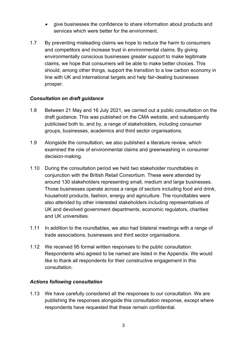- give businesses the confidence to share information about products and services which were better for the environment.
- 1.7 By preventing misleading claims we hope to reduce the harm to consumers and competitors and increase trust in environmental claims. By giving environmentally conscious businesses greater support to make legitimate claims, we hope that consumers will be able to make better choices. This should, among other things, support the transition to a low carbon economy in line with UK and international targets and help fair-dealing businesses prosper.

#### *Consultation on draft guidance*

- 1.8 Between 21 May and 16 July 2021, we carried out a public consultation on the draft guidance. This was published on the CMA website, and subsequently publicised both to, and by, a range of stakeholders, including consumer groups, businesses, academics and third sector organisations.
- 1.9 Alongside the consultation, we also published a literature review, which examined the role of environmental claims and greenwashing in consumer decision-making.
- 1.10 During the consultation period we held two stakeholder roundtables in conjunction with the British Retail Consortium. These were attended by around 130 stakeholders representing small, medium and large businesses. Those businesses operate across a range of sectors including food and drink, household products, fashion, energy and agriculture. The roundtables were also attended by other interested stakeholders including representatives of UK and devolved government departments, economic regulators, charities and UK universities.
- 1.11 In addition to the roundtables, we also had bilateral meetings with a range of trade associations, businesses and third sector organisations.
- 1.12 We received 95 formal written responses to the public consultation. Respondents who agreed to be named are listed in the Appendix. We would like to thank all respondents for their constructive engagement in this consultation.

#### *Actions following consultation*

1.13 We have carefully considered all the responses to our consultation. We are publishing the responses alongside this consultation response, except where respondents have requested that these remain confidential.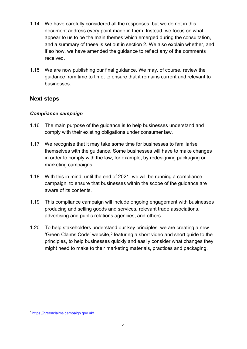- 1.14 We have carefully considered all the responses, but we do not in this document address every point made in them. Instead, we focus on what appear to us to be the main themes which emerged during the consultation, and a summary of these is set out in section 2. We also explain whether, and if so how, we have amended the guidance to reflect any of the comments received.
- 1.15 We are now publishing our final guidance. We may, of course, review the guidance from time to time, to ensure that it remains current and relevant to businesses.

## **Next steps**

#### *Compliance campaign*

- 1.16 The main purpose of the guidance is to help businesses understand and comply with their existing obligations under consumer law.
- 1.17 We recognise that it may take some time for businesses to familiarise themselves with the guidance. Some businesses will have to make changes in order to comply with the law, for example, by redesigning packaging or marketing campaigns.
- 1.18 With this in mind, until the end of 2021, we will be running a compliance campaign, to ensure that businesses within the scope of the guidance are aware of its contents.
- 1.19 This compliance campaign will include ongoing engagement with businesses producing and selling goods and services, relevant trade associations, advertising and public relations agencies, and others.
- 1.20 To help stakeholders understand our key principles, we are creating a new 'Green Claims Code' website, [5](#page-5-0) featuring a short video and short guide to the principles, to help businesses quickly and easily consider what changes they might need to make to their marketing materials, practices and packaging.

<span id="page-5-0"></span><sup>5</sup> <https://greenclaims.campaign.gov.uk/>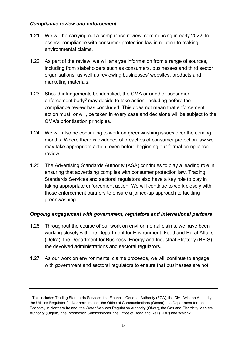#### *Compliance review and enforcement*

- 1.21 We will be carrying out a compliance review, commencing in early 2022, to assess compliance with consumer protection law in relation to making environmental claims.
- 1.22 As part of the review, we will analyse information from a range of sources, including from stakeholders such as consumers, businesses and third sector organisations, as well as reviewing businesses' websites, products and marketing materials.
- 1.23 Should infringements be identified, the CMA or another consumer enforcement body<sup>[6](#page-6-0)</sup> may decide to take action, including before the compliance review has concluded. This does not mean that enforcement action must, or will, be taken in every case and decisions will be subject to the CMA's prioritisation principles.
- 1.24 We will also be continuing to work on greenwashing issues over the coming months. Where there is evidence of breaches of consumer protection law we may take appropriate action, even before beginning our formal compliance review.
- 1.25 The Advertising Standards Authority (ASA) continues to play a leading role in ensuring that advertising complies with consumer protection law. Trading Standards Services and sectoral regulators also have a key role to play in taking appropriate enforcement action. We will continue to work closely with those enforcement partners to ensure a joined-up approach to tackling greenwashing.

#### *Ongoing engagement with government, regulators and international partners*

- 1.26 Throughout the course of our work on environmental claims, we have been working closely with the Department for Environment, Food and Rural Affairs (Defra), the Department for Business, Energy and Industrial Strategy (BEIS), the devolved administrations and sectoral regulators.
- 1.27 As our work on environmental claims proceeds, we will continue to engage with government and sectoral regulators to ensure that businesses are not

<span id="page-6-0"></span><sup>6</sup> This includes Trading Standards Services, the Financial Conduct Authority (FCA), the Civil Aviation Authority, the Utilities Regulator for Northern Ireland, the Office of Communications (Ofcom), the Department for the Economy in Northern Ireland, the Water Services Regulation Authority (Ofwat), the Gas and Electricity Markets Authority (Ofgem), the Information Commissioner, the Office of Road and Rail (ORR) and Which?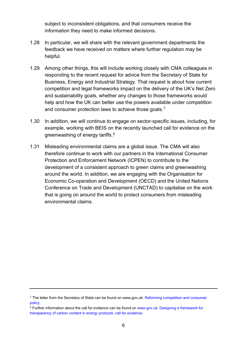subject to inconsistent obligations, and that consumers receive the information they need to make informed decisions.

- 1.28 In particular, we will share with the relevant government departments the feedback we have received on matters where further regulation may be helpful.
- 1.29 Among other things, this will include working closely with CMA colleagues in responding to the recent request for advice from the Secretary of State for Business, Energy and Industrial Strategy. That request is about how current competition and legal frameworks impact on the delivery of the UK's Net Zero and sustainability goals, whether any changes to those frameworks would help and how the UK can better use the powers available under competition and consumer protection laws to achieve those goals.<sup>[7](#page-7-0)</sup>
- 1.30 In addition, we will continue to engage on sector-specific issues, including, for example, working with BEIS on the recently launched call for evidence on the greenwashing of energy tariffs.[8](#page-7-1)
- 1.31 Misleading environmental claims are a global issue. The CMA will also therefore continue to work with our partners in the International Consumer Protection and Enforcement Network (ICPEN) to contribute to the development of a consistent approach to green claims and greenwashing around the world. In addition, we are engaging with the Organisation for Economic Co-operation and Development (OECD) and the United Nations Conference on Trade and Development (UNCTAD) to capitalise on the work that is going on around the world to protect consumers from misleading environmental claims.

<span id="page-7-0"></span><sup>7</sup> The letter from the Secretary of State can be found on www.gov.uk: [Reforming competition and consumer](https://www.gov.uk/government/consultations/reforming-competition-and-consumer-policy)  [policy.](https://www.gov.uk/government/consultations/reforming-competition-and-consumer-policy)

<span id="page-7-1"></span><sup>8</sup> Further information about the call for evidence can be found on [www.gov.uk:](http://www.gov.uk/) [Designing a framework for](https://www.gov.uk/government/consultations/designing-a-framework-for-transparency-of-carbon-content-in-energy-products-call-for-evidence)  [transparency of carbon content in energy products: call for evidence.](https://www.gov.uk/government/consultations/designing-a-framework-for-transparency-of-carbon-content-in-energy-products-call-for-evidence)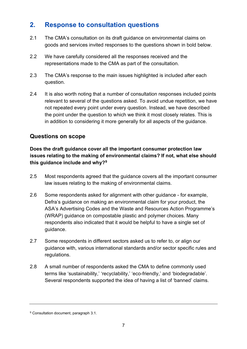# <span id="page-8-0"></span>**2. Response to consultation questions**

- 2.1 The CMA's consultation on its draft guidance on environmental claims on goods and services invited responses to the questions shown in bold below.
- 2.2 We have carefully considered all the responses received and the representations made to the CMA as part of the consultation.
- 2.3 The CMA's response to the main issues highlighted is included after each question.
- 2.4 It is also worth noting that a number of consultation responses included points relevant to several of the questions asked. To avoid undue repetition, we have not repeated every point under every question. Instead, we have described the point under the question to which we think it most closely relates. This is in addition to considering it more generally for all aspects of the guidance.

## **Questions on scope**

#### **Does the draft guidance cover all the important consumer protection law issues relating to the making of environmental claims? If not, what else should this guidance include and why?[9](#page-8-1)**

- 2.5 Most respondents agreed that the guidance covers all the important consumer law issues relating to the making of environmental claims.
- 2.6 Some respondents asked for alignment with other guidance for example, Defra's guidance on making an environmental claim for your product, the ASA's Advertising Codes and the Waste and Resources Action Programme's (WRAP) guidance on compostable plastic and polymer choices. Many respondents also indicated that it would be helpful to have a single set of guidance.
- 2.7 Some respondents in different sectors asked us to refer to, or align our guidance with, various international standards and/or sector specific rules and regulations.
- 2.8 A small number of respondents asked the CMA to define commonly used terms like 'sustainability,' 'recyclability,' 'eco-friendly,' and 'biodegradable'. Several respondents supported the idea of having a list of 'banned' claims.

<span id="page-8-1"></span><sup>9</sup> Consultation document, paragraph 3.1.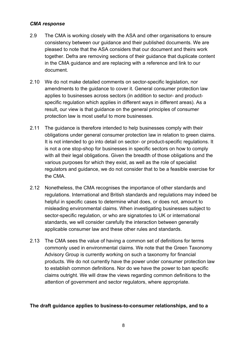#### *CMA response*

- 2.9 The CMA is working closely with the ASA and other organisations to ensure consistency between our guidance and their published documents. We are pleased to note that the ASA considers that our document and theirs work together. Defra are removing sections of their guidance that duplicate content in the CMA guidance and are replacing with a reference and link to our document.
- 2.10 We do not make detailed comments on sector-specific legislation, nor amendments to the guidance to cover it. General consumer protection law applies to businesses across sectors (in addition to sector- and productspecific regulation which applies in different ways in different areas). As a result, our view is that guidance on the general principles of consumer protection law is most useful to more businesses.
- 2.11 The guidance is therefore intended to help businesses comply with their obligations under general consumer protection law in relation to green claims. It is not intended to go into detail on sector- or product-specific regulations. It is not a one stop-shop for businesses in specific sectors on how to comply with all their legal obligations. Given the breadth of those obligations and the various purposes for which they exist, as well as the role of specialist regulators and guidance, we do not consider that to be a feasible exercise for the CMA.
- 2.12 Nonetheless, the CMA recognises the importance of other standards and regulations. International and British standards and regulations may indeed be helpful in specific cases to determine what does, or does not, amount to misleading environmental claims. When investigating businesses subject to sector-specific regulation, or who are signatories to UK or international standards, we will consider carefully the interaction between generally applicable consumer law and these other rules and standards.
- 2.13 The CMA sees the value of having a common set of definitions for terms commonly used in environmental claims. We note that the Green Taxonomy Advisory Group is currently working on such a taxonomy for financial products. We do not currently have the power under consumer protection law to establish common definitions. Nor do we have the power to ban specific claims outright. We will draw the views regarding common definitions to the attention of government and sector regulators, where appropriate.

#### **The draft guidance applies to business-to-consumer relationships, and to a**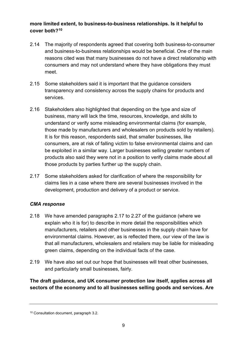#### **more limited extent, to business-to-business relationships. Is it helpful to cover both?[10](#page-10-0)**

- 2.14 The majority of respondents agreed that covering both business-to-consumer and business-to-business relationships would be beneficial. One of the main reasons cited was that many businesses do not have a direct relationship with consumers and may not understand where they have obligations they must meet.
- 2.15 Some stakeholders said it is important that the guidance considers transparency and consistency across the supply chains for products and services.
- 2.16 Stakeholders also highlighted that depending on the type and size of business, many will lack the time, resources, knowledge, and skills to understand or verify some misleading environmental claims (for example, those made by manufacturers and wholesalers on products sold by retailers). It is for this reason, respondents said, that smaller businesses, like consumers, are at risk of falling victim to false environmental claims and can be exploited in a similar way. Larger businesses selling greater numbers of products also said they were not in a position to verify claims made about all those products by parties further up the supply chain.
- 2.17 Some stakeholders asked for clarification of where the responsibility for claims lies in a case where there are several businesses involved in the development, production and delivery of a product or service.

#### *CMA response*

- 2.18 We have amended paragraphs 2.17 to 2.27 of the guidance (where we explain who it is for) to describe in more detail the responsibilities which manufacturers, retailers and other businesses in the supply chain have for environmental claims. However, as is reflected there, our view of the law is that all manufacturers, wholesalers and retailers may be liable for misleading green claims, depending on the individual facts of the case.
- 2.19 We have also set out our hope that businesses will treat other businesses, and particularly small businesses, fairly.

#### **The draft guidance, and UK consumer protection law itself, applies across all sectors of the economy and to all businesses selling goods and services. Are**

<span id="page-10-0"></span><sup>10</sup> Consultation document, paragraph 3.2.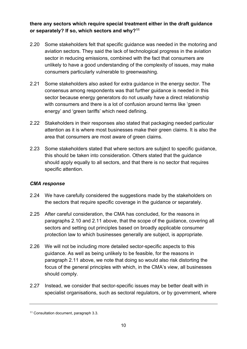**there any sectors which require special treatment either in the draft guidance or separately? If so, which sectors and why?[11](#page-11-0)**

- 2.20 Some stakeholders felt that specific guidance was needed in the motoring and aviation sectors. They said the lack of technological progress in the aviation sector in reducing emissions, combined with the fact that consumers are unlikely to have a good understanding of the complexity of issues, may make consumers particularly vulnerable to greenwashing.
- 2.21 Some stakeholders also asked for extra guidance in the energy sector. The consensus among respondents was that further guidance is needed in this sector because energy generators do not usually have a direct relationship with consumers and there is a lot of confusion around terms like 'green energy' and 'green tariffs' which need defining.
- 2.22 Stakeholders in their responses also stated that packaging needed particular attention as it is where most businesses make their green claims. It is also the area that consumers are most aware of green claims.
- 2.23 Some stakeholders stated that where sectors are subject to specific guidance, this should be taken into consideration. Others stated that the guidance should apply equally to all sectors, and that there is no sector that requires specific attention.

- 2.24 We have carefully considered the suggestions made by the stakeholders on the sectors that require specific coverage in the guidance or separately.
- 2.25 After careful consideration, the CMA has concluded, for the reasons in paragraphs 2.10 and 2.11 above, that the scope of the guidance, covering all sectors and setting out principles based on broadly applicable consumer protection law to which businesses generally are subject, is appropriate.
- 2.26 We will not be including more detailed sector-specific aspects to this guidance. As well as being unlikely to be feasible, for the reasons in paragraph 2.11 above, we note that doing so would also risk distorting the focus of the general principles with which, in the CMA's view, all businesses should comply.
- 2.27 Instead, we consider that sector-specific issues may be better dealt with in specialist organisations, such as sectoral regulators, or by government, where

<span id="page-11-0"></span><sup>11</sup> Consultation document, paragraph 3.3.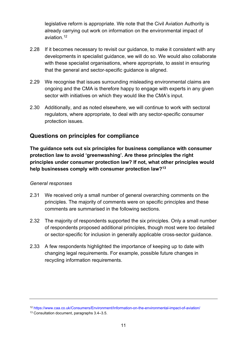legislative reform is appropriate. We note that the Civil Aviation Authority is already carrying out work on information on the environmental impact of aviation. [12](#page-12-0)

- 2.28 If it becomes necessary to revisit our guidance, to make it consistent with any developments in specialist guidance, we will do so. We would also collaborate with these specialist organisations, where appropriate, to assist in ensuring that the general and sector-specific guidance is aligned.
- 2.29 We recognise that issues surrounding misleading environmental claims are ongoing and the CMA is therefore happy to engage with experts in any given sector with initiatives on which they would like the CMA's input.
- 2.30 Additionally, and as noted elsewhere, we will continue to work with sectoral regulators, where appropriate, to deal with any sector-specific consumer protection issues.

## **Questions on principles for compliance**

**The guidance sets out six principles for business compliance with consumer protection law to avoid 'greenwashing'. Are these principles the right principles under consumer protection law? If not, what other principles would help businesses comply with consumer protection law?[13](#page-12-1)**

#### *General responses*

- 2.31 We received only a small number of general overarching comments on the principles. The majority of comments were on specific principles and these comments are summarised in the following sections.
- 2.32 The majority of respondents supported the six principles. Only a small number of respondents proposed additional principles, though most were too detailed or sector-specific for inclusion in generally applicable cross-sector guidance.
- 2.33 A few respondents highlighted the importance of keeping up to date with changing legal requirements. For example, possible future changes in recycling information requirements.

<span id="page-12-0"></span><sup>12</sup> <https://www.caa.co.uk/Consumers/Environment/Information-on-the-environmental-impact-of-aviation/>

<span id="page-12-1"></span><sup>13</sup> Consultation document, paragraphs 3.4–3.5.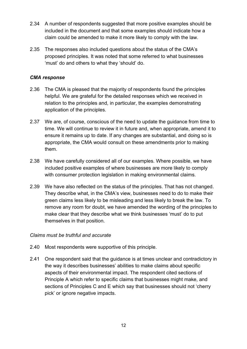- 2.34 A number of respondents suggested that more positive examples should be included in the document and that some examples should indicate how a claim could be amended to make it more likely to comply with the law.
- 2.35 The responses also included questions about the status of the CMA's proposed principles. It was noted that some referred to what businesses 'must' do and others to what they 'should' do.

#### *CMA response*

- 2.36 The CMA is pleased that the majority of respondents found the principles helpful. We are grateful for the detailed responses which we received in relation to the principles and, in particular, the examples demonstrating application of the principles.
- 2.37 We are, of course, conscious of the need to update the guidance from time to time. We will continue to review it in future and, when appropriate, amend it to ensure it remains up to date. If any changes are substantial, and doing so is appropriate, the CMA would consult on these amendments prior to making them.
- 2.38 We have carefully considered all of our examples. Where possible, we have included positive examples of where businesses are more likely to comply with consumer protection legislation in making environmental claims.
- 2.39 We have also reflected on the status of the principles. That has not changed. They describe what, in the CMA's view, businesses need to do to make their green claims less likely to be misleading and less likely to break the law. To remove any room for doubt, we have amended the wording of the principles to make clear that they describe what we think businesses 'must' do to put themselves in that position.

#### *Claims must be truthful and accurate*

- 2.40 Most respondents were supportive of this principle.
- 2.41 One respondent said that the guidance is at times unclear and contradictory in the way it describes businesses' abilities to make claims about specific aspects of their environmental impact. The respondent cited sections of Principle A which refer to specific claims that businesses might make, and sections of Principles C and E which say that businesses should not 'cherry pick' or ignore negative impacts.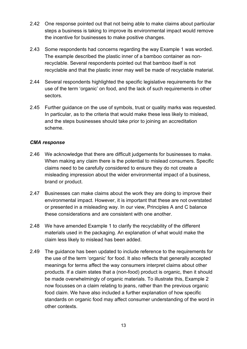- 2.42 One response pointed out that not being able to make claims about particular steps a business is taking to improve its environmental impact would remove the incentive for businesses to make positive changes.
- 2.43 Some respondents had concerns regarding the way Example 1 was worded. The example described the plastic inner of a bamboo container as nonrecyclable. Several respondents pointed out that bamboo itself is not recyclable and that the plastic inner may well be made of recyclable material.
- 2.44 Several respondents highlighted the specific legislative requirements for the use of the term 'organic' on food, and the lack of such requirements in other sectors.
- 2.45 Further guidance on the use of symbols, trust or quality marks was requested. In particular, as to the criteria that would make these less likely to mislead, and the steps businesses should take prior to joining an accreditation scheme.

- 2.46 We acknowledge that there are difficult judgements for businesses to make. When making any claim there is the potential to mislead consumers. Specific claims need to be carefully considered to ensure they do not create a misleading impression about the wider environmental impact of a business, brand or product.
- 2.47 Businesses can make claims about the work they are doing to improve their environmental impact. However, it is important that these are not overstated or presented in a misleading way. In our view, Principles A and C balance these considerations and are consistent with one another.
- 2.48 We have amended Example 1 to clarify the recyclability of the different materials used in the packaging. An explanation of what would make the claim less likely to mislead has been added.
- 2.49 The guidance has been updated to include reference to the requirements for the use of the term 'organic' for food. It also reflects that generally accepted meanings for terms affect the way consumers interpret claims about other products. If a claim states that a (non-food) product is organic, then it should be made overwhelmingly of organic materials. To illustrate this, Example 2 now focusses on a claim relating to jeans, rather than the previous organic food claim. We have also included a further explanation of how specific standards on organic food may affect consumer understanding of the word in other contexts.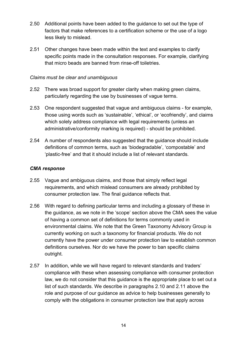- 2.50 Additional points have been added to the guidance to set out the type of factors that make references to a certification scheme or the use of a logo less likely to mislead.
- 2.51 Other changes have been made within the text and examples to clarify specific points made in the consultation responses. For example, clarifying that micro beads are banned from rinse-off toiletries.

#### *Claims must be clear and unambiguous*

- 2.52 There was broad support for greater clarity when making green claims, particularly regarding the use by businesses of vague terms.
- 2.53 One respondent suggested that vague and ambiguous claims for example, those using words such as 'sustainable', 'ethical', or 'ecofriendly', and claims which solely address compliance with legal requirements (unless an administrative/conformity marking is required) - should be prohibited.
- 2.54 A number of respondents also suggested that the guidance should include definitions of common terms, such as 'biodegradable', 'compostable' and 'plastic-free' and that it should include a list of relevant standards.

- 2.55 Vague and ambiguous claims, and those that simply reflect legal requirements, and which mislead consumers are already prohibited by consumer protection law. The final guidance reflects that.
- 2.56 With regard to defining particular terms and including a glossary of these in the guidance, as we note in the 'scope' section above the CMA sees the value of having a common set of definitions for terms commonly used in environmental claims. We note that the Green Taxonomy Advisory Group is currently working on such a taxonomy for financial products. We do not currently have the power under consumer protection law to establish common definitions ourselves. Nor do we have the power to ban specific claims outright.
- 2.57 In addition, while we will have regard to relevant standards and traders' compliance with these when assessing compliance with consumer protection law, we do not consider that this guidance is the appropriate place to set out a list of such standards. We describe in paragraphs 2.10 and 2.11 above the role and purpose of our guidance as advice to help businesses generally to comply with the obligations in consumer protection law that apply across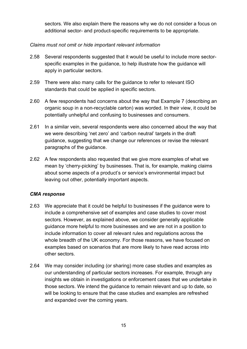sectors. We also explain there the reasons why we do not consider a focus on additional sector- and product-specific requirements to be appropriate.

#### *Claims must not omit or hide important relevant information*

- 2.58 Several respondents suggested that it would be useful to include more sectorspecific examples in the guidance, to help illustrate how the guidance will apply in particular sectors.
- 2.59 There were also many calls for the guidance to refer to relevant ISO standards that could be applied in specific sectors.
- 2.60 A few respondents had concerns about the way that Example 7 (describing an organic soup in a non-recyclable carton) was worded. In their view, it could be potentially unhelpful and confusing to businesses and consumers.
- 2.61 In a similar vein, several respondents were also concerned about the way that we were describing 'net zero' and 'carbon neutral' targets in the draft guidance, suggesting that we change our references or revise the relevant paragraphs of the guidance.
- 2.62 A few respondents also requested that we give more examples of what we mean by 'cherry-picking' by businesses. That is, for example, making claims about some aspects of a product's or service's environmental impact but leaving out other, potentially important aspects.

- 2.63 We appreciate that it could be helpful to businesses if the guidance were to include a comprehensive set of examples and case studies to cover most sectors. However, as explained above, we consider generally applicable guidance more helpful to more businesses and we are not in a position to include information to cover all relevant rules and regulations across the whole breadth of the UK economy. For those reasons, we have focused on examples based on scenarios that are more likely to have read across into other sectors.
- 2.64 We may consider including (or sharing) more case studies and examples as our understanding of particular sectors increases. For example, through any insights we obtain in investigations or enforcement cases that we undertake in those sectors. We intend the guidance to remain relevant and up to date, so will be looking to ensure that the case studies and examples are refreshed and expanded over the coming years.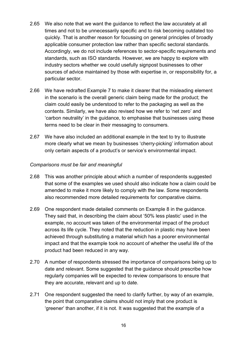- 2.65 We also note that we want the guidance to reflect the law accurately at all times and not to be unnecessarily specific and to risk becoming outdated too quickly. That is another reason for focussing on general principles of broadly applicable consumer protection law rather than specific sectoral standards. Accordingly, we do not include references to sector-specific requirements and standards, such as ISO standards. However, we are happy to explore with industry sectors whether we could usefully signpost businesses to other sources of advice maintained by those with expertise in, or responsibility for, a particular sector.
- 2.66 We have redrafted Example 7 to make it clearer that the misleading element in the scenario is the overall generic claim being made for the product; the claim could easily be understood to refer to the packaging as well as the contents. Similarly, we have also revised how we refer to 'net zero' and 'carbon neutrality' in the guidance, to emphasise that businesses using these terms need to be clear in their messaging to consumers.
- 2.67 We have also included an additional example in the text to try to illustrate more clearly what we mean by businesses 'cherry-picking' information about only certain aspects of a product's or service's environmental impact.

#### *Comparisons must be fair and meaningful*

- 2.68 This was another principle about which a number of respondents suggested that some of the examples we used should also indicate how a claim could be amended to make it more likely to comply with the law. Some respondents also recommended more detailed requirements for comparative claims.
- 2.69 One respondent made detailed comments on Example 8 in the guidance. They said that, in describing the claim about '50% less plastic' used in the example, no account was taken of the environmental impact of the product across its life cycle. They noted that the reduction in plastic may have been achieved through substituting a material which has a poorer environmental impact and that the example took no account of whether the useful life of the product had been reduced in any way.
- 2.70 A number of respondents stressed the importance of comparisons being up to date and relevant. Some suggested that the guidance should prescribe how regularly companies will be expected to review comparisons to ensure that they are accurate, relevant and up to date.
- 2.71 One respondent suggested the need to clarify further, by way of an example, the point that comparative claims should not imply that one product is 'greener' than another, if it is not. It was suggested that the example of a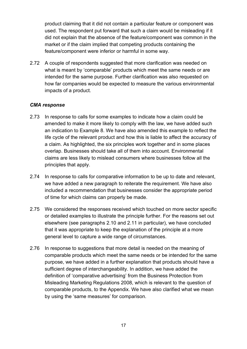product claiming that it did not contain a particular feature or component was used. The respondent put forward that such a claim would be misleading if it did not explain that the absence of the feature/component was common in the market or if the claim implied that competing products containing the feature/component were inferior or harmful in some way.

2.72 A couple of respondents suggested that more clarification was needed on what is meant by 'comparable' products which meet the same needs or are intended for the same purpose. Further clarification was also requested on how far companies would be expected to measure the various environmental impacts of a product.

- 2.73 In response to calls for some examples to indicate how a claim could be amended to make it more likely to comply with the law, we have added such an indication to Example 8. We have also amended this example to reflect the life cycle of the relevant product and how this is liable to affect the accuracy of a claim. As highlighted, the six principles work together and in some places overlap. Businesses should take all of them into account. Environmental claims are less likely to mislead consumers where businesses follow all the principles that apply.
- 2.74 In response to calls for comparative information to be up to date and relevant, we have added a new paragraph to reiterate the requirement. We have also included a recommendation that businesses consider the appropriate period of time for which claims can properly be made.
- 2.75 We considered the responses received which touched on more sector specific or detailed examples to illustrate the principle further. For the reasons set out elsewhere (see paragraphs 2.10 and 2.11 in particular), we have concluded that it was appropriate to keep the explanation of the principle at a more general level to capture a wide range of circumstances.
- 2.76 In response to suggestions that more detail is needed on the meaning of comparable products which meet the same needs or be intended for the same purpose, we have added in a further explanation that products should have a sufficient degree of interchangeability. In addition, we have added the definition of 'comparative advertising' from the Business Protection from Misleading Marketing Regulations 2008, which is relevant to the question of comparable products, to the Appendix. We have also clarified what we mean by using the 'same measures' for comparison.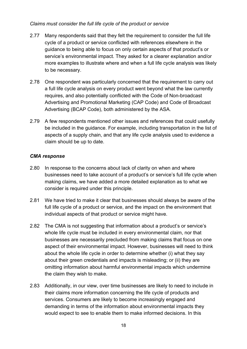#### *Claims must consider the full life cycle of the product or service*

- 2.77 Many respondents said that they felt the requirement to consider the full life cycle of a product or service conflicted with references elsewhere in the guidance to being able to focus on only certain aspects of that product's or service's environmental impact. They asked for a clearer explanation and/or more examples to illustrate where and when a full life cycle analysis was likely to be necessary.
- 2.78 One respondent was particularly concerned that the requirement to carry out a full life cycle analysis on every product went beyond what the law currently requires, and also potentially conflicted with the Code of Non-broadcast Advertising and Promotional Marketing (CAP Code) and Code of Broadcast Advertising (BCAP Code), both administered by the ASA.
- 2.79 A few respondents mentioned other issues and references that could usefully be included in the guidance. For example, including transportation in the list of aspects of a supply chain, and that any life cycle analysis used to evidence a claim should be up to date.

- 2.80 In response to the concerns about lack of clarity on when and where businesses need to take account of a product's or service's full life cycle when making claims, we have added a more detailed explanation as to what we consider is required under this principle.
- 2.81 We have tried to make it clear that businesses should always be aware of the full life cycle of a product or service, and the impact on the environment that individual aspects of that product or service might have.
- 2.82 The CMA is not suggesting that information about a product's or service's whole life cycle must be included in every environmental claim, nor that businesses are necessarily precluded from making claims that focus on one aspect of their environmental impact. However, businesses will need to think about the whole life cycle in order to determine whether (i) what they say about their green credentials and impacts is misleading; or (ii) they are omitting information about harmful environmental impacts which undermine the claim they wish to make.
- 2.83 Additionally, in our view, over time businesses are likely to need to include in their claims more information concerning the life cycle of products and services. Consumers are likely to become increasingly engaged and demanding in terms of the information about environmental impacts they would expect to see to enable them to make informed decisions. In this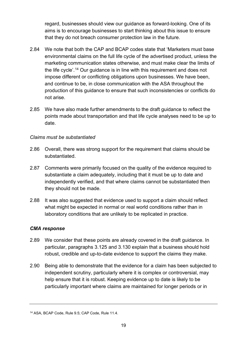regard, businesses should view our guidance as forward-looking. One of its aims is to encourage businesses to start thinking about this issue to ensure that they do not breach consumer protection law in the future.

- 2.84 We note that both the CAP and BCAP codes state that 'Marketers must base environmental claims on the full life cycle of the advertised product, unless the marketing communication states otherwise, and must make clear the limits of the life cycle'.<sup>[14](#page-20-0)</sup> Our guidance is in line with this requirement and does not impose different or conflicting obligations upon businesses. We have been, and continue to be, in close communication with the ASA throughout the production of this guidance to ensure that such inconsistencies or conflicts do not arise.
- 2.85 We have also made further amendments to the draft guidance to reflect the points made about transportation and that life cycle analyses need to be up to date.

#### *Claims must be substantiated*

- 2.86 Overall, there was strong support for the requirement that claims should be substantiated.
- 2.87 Comments were primarily focused on the quality of the evidence required to substantiate a claim adequately, including that it must be up to date and independently verified, and that where claims cannot be substantiated then they should not be made.
- 2.88 It was also suggested that evidence used to support a claim should reflect what might be expected in normal or real world conditions rather than in laboratory conditions that are unlikely to be replicated in practice.

- 2.89 We consider that these points are already covered in the draft guidance. In particular, paragraphs 3.125 and 3.130 explain that a business should hold robust, credible and up-to-date evidence to support the claims they make.
- 2.90 Being able to demonstrate that the evidence for a claim has been subjected to independent scrutiny, particularly where it is complex or controversial, may help ensure that it is robust. Keeping evidence up to date is likely to be particularly important where claims are maintained for longer periods or in

<span id="page-20-0"></span><sup>14</sup> ASA, BCAP Code, Rule 9.5; CAP Code, Rule 11.4.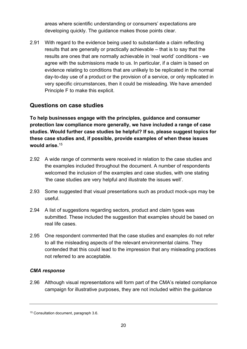areas where scientific understanding or consumers' expectations are developing quickly. The guidance makes those points clear.

2.91 With regard to the evidence being used to substantiate a claim reflecting results that are generally or practically achievable – that is to say that the results are ones that are normally achievable in 'real world' conditions - we agree with the submissions made to us. In particular, if a claim is based on evidence relating to conditions that are unlikely to be replicated in the normal day-to-day use of a product or the provision of a service, or only replicated in very specific circumstances, then it could be misleading. We have amended Principle F to make this explicit.

#### **Questions on case studies**

**To help businesses engage with the principles, guidance and consumer protection law compliance more generally, we have included a range of case studies. Would further case studies be helpful? If so, please suggest topics for these case studies and, if possible, provide examples of when these issues would arise.**[15](#page-21-0)

- 2.92 A wide range of comments were received in relation to the case studies and the examples included throughout the document. A number of respondents welcomed the inclusion of the examples and case studies, with one stating 'the case studies are very helpful and illustrate the issues well'.
- 2.93 Some suggested that visual presentations such as product mock-ups may be useful.
- 2.94 A list of suggestions regarding sectors, product and claim types was submitted. These included the suggestion that examples should be based on real life cases.
- 2.95 One respondent commented that the case studies and examples do not refer to all the misleading aspects of the relevant environmental claims. They contended that this could lead to the impression that any misleading practices not referred to are acceptable.

#### *CMA response*

2.96 Although visual representations will form part of the CMA's related compliance campaign for illustrative purposes, they are not included within the guidance

<span id="page-21-0"></span><sup>15</sup> Consultation document, paragraph 3.6.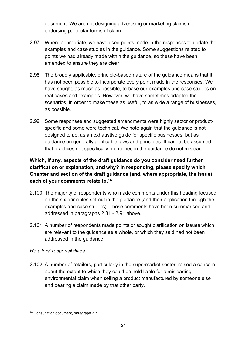document. We are not designing advertising or marketing claims nor endorsing particular forms of claim.

- 2.97 Where appropriate, we have used points made in the responses to update the examples and case studies in the guidance. Some suggestions related to points we had already made within the guidance, so these have been amended to ensure they are clear.
- 2.98 The broadly applicable, principle-based nature of the guidance means that it has not been possible to incorporate every point made in the responses. We have sought, as much as possible, to base our examples and case studies on real cases and examples. However, we have sometimes adapted the scenarios, in order to make these as useful, to as wide a range of businesses, as possible.
- 2.99 Some responses and suggested amendments were highly sector or productspecific and some were technical. We note again that the guidance is not designed to act as an exhaustive guide for specific businesses, but as guidance on generally applicable laws and principles. It cannot be assumed that practices not specifically mentioned in the guidance do not mislead.

## **Which, if any, aspects of the draft guidance do you consider need further clarification or explanation, and why? In responding, please specify which Chapter and section of the draft guidance (and, where appropriate, the issue) each of your comments relate to.[16](#page-22-0)**

- 2.100 The majority of respondents who made comments under this heading focused on the six principles set out in the guidance (and their application through the examples and case studies). Those comments have been summarised and addressed in paragraphs 2.31 - 2.91 above.
- 2.101 A number of respondents made points or sought clarification on issues which are relevant to the guidance as a whole, or which they said had not been addressed in the guidance.

#### *Retailers' responsibilities*

2.102 A number of retailers, particularly in the supermarket sector, raised a concern about the extent to which they could be held liable for a misleading environmental claim when selling a product manufactured by someone else and bearing a claim made by that other party.

<span id="page-22-0"></span><sup>16</sup> Consultation document, paragraph 3.7.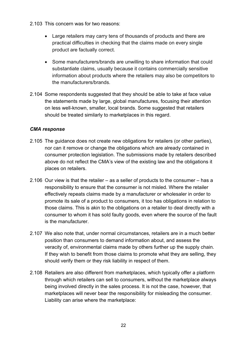- 2.103 This concern was for two reasons:
	- Large retailers may carry tens of thousands of products and there are practical difficulties in checking that the claims made on every single product are factually correct.
	- Some manufacturers/brands are unwilling to share information that could substantiate claims, usually because it contains commercially sensitive information about products where the retailers may also be competitors to the manufacturers/brands.
- 2.104 Some respondents suggested that they should be able to take at face value the statements made by large, global manufactures, focusing their attention on less well-known, smaller, local brands. Some suggested that retailers should be treated similarly to marketplaces in this regard.

- 2.105 The guidance does not create new obligations for retailers (or other parties), nor can it remove or change the obligations which are already contained in consumer protection legislation. The submissions made by retailers described above do not reflect the CMA's view of the existing law and the obligations it places on retailers.
- 2.106 Our view is that the retailer as a seller of products to the consumer has a responsibility to ensure that the consumer is not misled. Where the retailer effectively repeats claims made by a manufacturer or wholesaler in order to promote its sale of a product to consumers, it too has obligations in relation to those claims. This is akin to the obligations on a retailer to deal directly with a consumer to whom it has sold faulty goods, even where the source of the fault is the manufacturer.
- 2.107 We also note that, under normal circumstances, retailers are in a much better position than consumers to demand information about, and assess the veracity of, environmental claims made by others further up the supply chain. If they wish to benefit from those claims to promote what they are selling, they should verify them or they risk liability in respect of them.
- 2.108 Retailers are also different from marketplaces, which typically offer a platform through which retailers can sell to consumers, without the marketplace always being involved directly in the sales process. It is not the case, however, that marketplaces will never bear the responsibility for misleading the consumer. Liability can arise where the marketplace: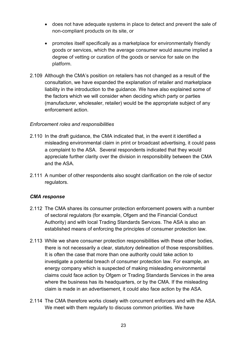- does not have adequate systems in place to detect and prevent the sale of non-compliant products on its site, or
- promotes itself specifically as a marketplace for environmentally friendly goods or services, which the average consumer would assume implied a degree of vetting or curation of the goods or service for sale on the platform.
- 2.109 Although the CMA's position on retailers has not changed as a result of the consultation, we have expanded the explanation of retailer and marketplace liability in the introduction to the guidance. We have also explained some of the factors which we will consider when deciding which party or parties (manufacturer, wholesaler, retailer) would be the appropriate subject of any enforcement action.

#### *Enforcement roles and responsibilities*

- 2.110 In the draft guidance, the CMA indicated that, in the event it identified a misleading environmental claim in print or broadcast advertising, it could pass a complaint to the ASA. Several respondents indicated that they would appreciate further clarity over the division in responsibility between the CMA and the ASA.
- 2.111 A number of other respondents also sought clarification on the role of sector regulators.

- 2.112 The CMA shares its consumer protection enforcement powers with a number of sectoral regulators (for example, Ofgem and the Financial Conduct Authority) and with local Trading Standards Services. The ASA is also an established means of enforcing the principles of consumer protection law.
- 2.113 While we share consumer protection responsibilities with these other bodies, there is not necessarily a clear, statutory delineation of those responsibilities. It is often the case that more than one authority could take action to investigate a potential breach of consumer protection law. For example, an energy company which is suspected of making misleading environmental claims could face action by Ofgem or Trading Standards Services in the area where the business has its headquarters, or by the CMA. If the misleading claim is made in an advertisement, it could also face action by the ASA.
- 2.114 The CMA therefore works closely with concurrent enforcers and with the ASA. We meet with them regularly to discuss common priorities. We have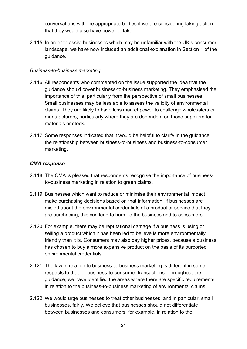conversations with the appropriate bodies if we are considering taking action that they would also have power to take.

2.115 In order to assist businesses which may be unfamiliar with the UK's consumer landscape, we have now included an additional explanation in Section 1 of the guidance.

#### *Business-to-business marketing*

- 2.116 All respondents who commented on the issue supported the idea that the guidance should cover business-to-business marketing. They emphasised the importance of this, particularly from the perspective of small businesses. Small businesses may be less able to assess the validity of environmental claims. They are likely to have less market power to challenge wholesalers or manufacturers, particularly where they are dependent on those suppliers for materials or stock.
- 2.117 Some responses indicated that it would be helpful to clarify in the guidance the relationship between business-to-business and business-to-consumer marketing.

- 2.118 The CMA is pleased that respondents recognise the importance of businessto-business marketing in relation to green claims.
- 2.119 Businesses which want to reduce or minimise their environmental impact make purchasing decisions based on that information. If businesses are misled about the environmental credentials of a product or service that they are purchasing, this can lead to harm to the business and to consumers.
- 2.120 For example, there may be reputational damage if a business is using or selling a product which it has been led to believe is more environmentally friendly than it is. Consumers may also pay higher prices, because a business has chosen to buy a more expensive product on the basis of its purported environmental credentials.
- 2.121 The law in relation to business-to-business marketing is different in some respects to that for business-to-consumer transactions. Throughout the guidance, we have identified the areas where there are specific requirements in relation to the business-to-business marketing of environmental claims.
- 2.122 We would urge businesses to treat other businesses, and in particular, small businesses, fairly. We believe that businesses should not differentiate between businesses and consumers, for example, in relation to the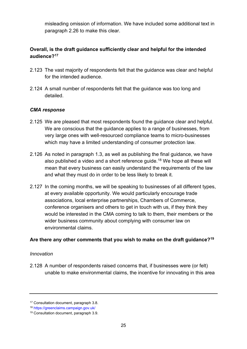misleading omission of information. We have included some additional text in paragraph 2.26 to make this clear.

#### **Overall, is the draft guidance sufficiently clear and helpful for the intended audience?[17](#page-26-0)**

- 2.123 The vast majority of respondents felt that the guidance was clear and helpful for the intended audience.
- 2.124 A small number of respondents felt that the guidance was too long and detailed.

#### *CMA response*

- 2.125 We are pleased that most respondents found the guidance clear and helpful. We are conscious that the guidance applies to a range of businesses, from very large ones with well-resourced compliance teams to micro-businesses which may have a limited understanding of consumer protection law.
- 2.126 As noted in paragraph 1.3, as well as publishing the final guidance, we have also published a video and a short reference guide. [18](#page-26-1) We hope all these will mean that every business can easily understand the requirements of the law and what they must do in order to be less likely to break it.
- 2.127 In the coming months, we will be speaking to businesses of all different types, at every available opportunity. We would particularly encourage trade associations, local enterprise partnerships, Chambers of Commerce, conference organisers and others to get in touch with us, if they think they would be interested in the CMA coming to talk to them, their members or the wider business community about complying with consumer law on environmental claims.

#### **Are there any other comments that you wish to make on the draft guidance?[19](#page-26-2)**

#### *Innovation*

2.128 A number of respondents raised concerns that, if businesses were (or felt) unable to make environmental claims, the incentive for innovating in this area

<span id="page-26-0"></span><sup>17</sup> Consultation document, paragraph 3.8.

<span id="page-26-1"></span><sup>18</sup> <https://greenclaims.campaign.gov.uk/>

<span id="page-26-2"></span><sup>19</sup> Consultation document, paragraph 3.9.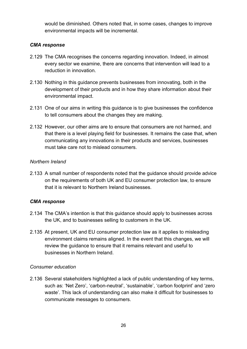would be diminished. Others noted that, in some cases, changes to improve environmental impacts will be incremental.

#### *CMA response*

- 2.129 The CMA recognises the concerns regarding innovation. Indeed, in almost every sector we examine, there are concerns that intervention will lead to a reduction in innovation.
- 2.130 Nothing in this guidance prevents businesses from innovating, both in the development of their products and in how they share information about their environmental impact.
- 2.131 One of our aims in writing this guidance is to give businesses the confidence to tell consumers about the changes they are making.
- 2.132 However, our other aims are to ensure that consumers are not harmed, and that there is a level playing field for businesses. It remains the case that, when communicating any innovations in their products and services, businesses must take care not to mislead consumers.

#### *Northern Ireland*

2.133 A small number of respondents noted that the guidance should provide advice on the requirements of both UK and EU consumer protection law, to ensure that it is relevant to Northern Ireland businesses.

#### *CMA response*

- 2.134 The CMA's intention is that this guidance should apply to businesses across the UK, and to businesses selling to customers in the UK.
- 2.135 At present, UK and EU consumer protection law as it applies to misleading environment claims remains aligned. In the event that this changes, we will review the guidance to ensure that it remains relevant and useful to businesses in Northern Ireland.

#### *Consumer education*

2.136 Several stakeholders highlighted a lack of public understanding of key terms, such as: 'Net Zero', 'carbon-neutral', 'sustainable', 'carbon footprint' and 'zero waste'. This lack of understanding can also make it difficult for businesses to communicate messages to consumers.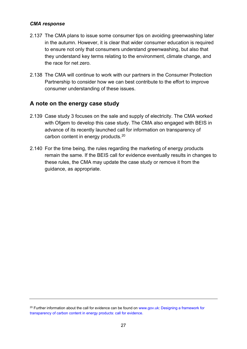#### *CMA response*

- 2.137 The CMA plans to issue some consumer tips on avoiding greenwashing later in the autumn. However, it is clear that wider consumer education is required to ensure not only that consumers understand greenwashing, but also that they understand key terms relating to the environment, climate change, and the race for net zero.
- 2.138 The CMA will continue to work with our partners in the Consumer Protection Partnership to consider how we can best contribute to the effort to improve consumer understanding of these issues.

### **A note on the energy case study**

- 2.139 Case study 3 focuses on the sale and supply of electricity. The CMA worked with Ofgem to develop this case study. The CMA also engaged with BEIS in advance of its recently launched call for information on transparency of carbon content in energy products.[20](#page-28-0)
- 2.140 For the time being, the rules regarding the marketing of energy products remain the same. If the BEIS call for evidence eventually results in changes to these rules, the CMA may update the case study or remove it from the guidance, as appropriate.

<span id="page-28-0"></span><sup>&</sup>lt;sup>20</sup> Further information about the call for evidence can be found on [www.gov.uk:](http://www.gov.uk/) Designing a framework for [transparency of carbon content in energy products: call for evidence.](https://www.gov.uk/government/consultations/designing-a-framework-for-transparency-of-carbon-content-in-energy-products-call-for-evidence)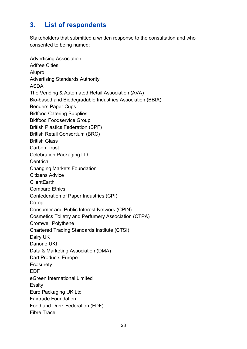# <span id="page-29-0"></span>**3. List of respondents**

Stakeholders that submitted a written response to the consultation and who consented to being named:

Advertising Association Adfree Cities Alupro Advertising Standards Authority ASDA The Vending & Automated Retail Association (AVA) Bio-based and Biodegradable Industries Association (BBIA) Benders Paper Cups Bidfood Catering Supplies Bidfood Foodservice Group British Plastics Federation (BPF) British Retail Consortium (BRC) British Glass Carbon Trust Celebration Packaging Ltd **Centrica** Changing Markets Foundation Citizens Advice **ClientEarth** Compare Ethics Confederation of Paper Industries (CPI) Co-op Consumer and Public Interest Network (CPIN) Cosmetics Toiletry and Perfumery Association (CTPA) Cromwell Polythene Chartered Trading Standards Institute (CTSI) Dairy UK Danone UKI Data & Marketing Association (DMA) Dart Products Europe **Ecosurety** EDF eGreen International Limited **Essity** Euro Packaging UK Ltd Fairtrade Foundation Food and Drink Federation (FDF) Fibre Trace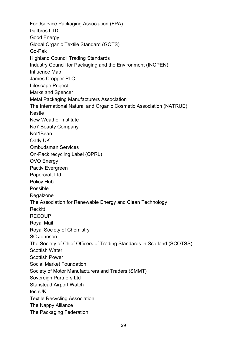Foodservice Packaging Association (FPA) Gafbros LTD Good Energy Global Organic Textile Standard (GOTS) Go-Pak Highland Council Trading Standards Industry Council for Packaging and the Environment (INCPEN) Influence Map James Cropper PLC Lifescape Project Marks and Spencer Metal Packaging Manufacturers Association The International Natural and Organic Cosmetic Association (NATRUE) Nestle New Weather Institute No7 Beauty Company Not1Bean Oatly UK Ombudsman Services On-Pack recycling Label (OPRL) OVO Energy Pactiv Evergreen Papercraft Ltd Policy Hub Possible **Regalzone** The Association for Renewable Energy and Clean Technology Reckitt **RECOUP** Royal Mail Royal Society of Chemistry SC Johnson The Society of Chief Officers of Trading Standards in Scotland (SCOTSS) Scottish Water Scottish Power Social Market Foundation Society of Motor Manufacturers and Traders (SMMT) Sovereign Partners Ltd Stanstead Airport Watch techUK Textile Recycling Association The Nappy Alliance The Packaging Federation